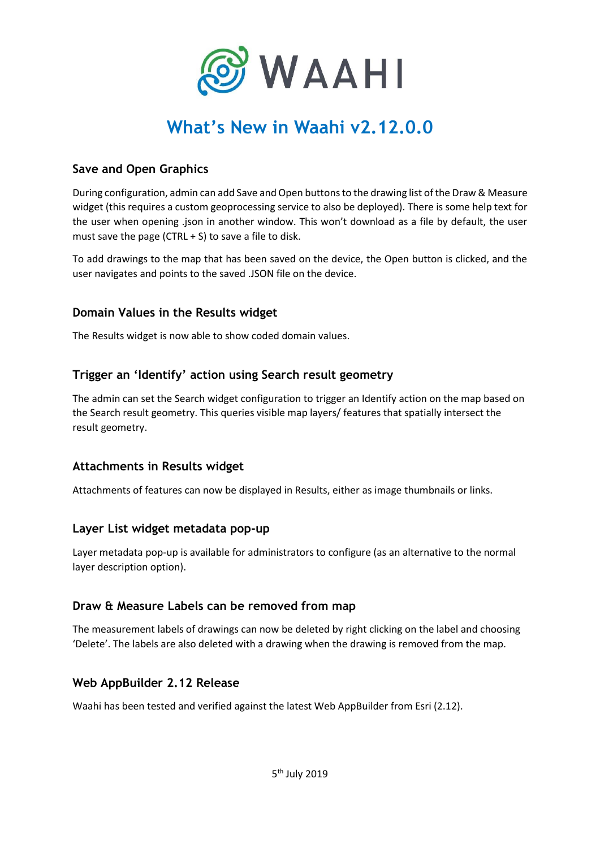

# **What's New in Waahi v2.12.0.0**

### **Save and Open Graphics**

During configuration, admin can add Save and Open buttons to the drawing list of the Draw & Measure widget (this requires a custom geoprocessing service to also be deployed). There is some help text for the user when opening .json in another window. This won't download as a file by default, the user must save the page (CTRL  $+$  S) to save a file to disk.

To add drawings to the map that has been saved on the device, the Open button is clicked, and the user navigates and points to the saved .JSON file on the device.

#### **Domain Values in the Results widget**

The Results widget is now able to show coded domain values.

#### **Trigger an 'Identify' action using Search result geometry**

The admin can set the Search widget configuration to trigger an Identify action on the map based on the Search result geometry. This queries visible map layers/ features that spatially intersect the result geometry.

#### **Attachments in Results widget**

Attachments of features can now be displayed in Results, either as image thumbnails or links.

#### **Layer List widget metadata pop-up**

Layer metadata pop-up is available for administrators to configure (as an alternative to the normal layer description option).

#### **Draw & Measure Labels can be removed from map**

The measurement labels of drawings can now be deleted by right clicking on the label and choosing 'Delete'. The labels are also deleted with a drawing when the drawing is removed from the map.

#### **Web AppBuilder 2.12 Release**

Waahi has been tested and verified against the latest Web AppBuilder from Esri (2.12).